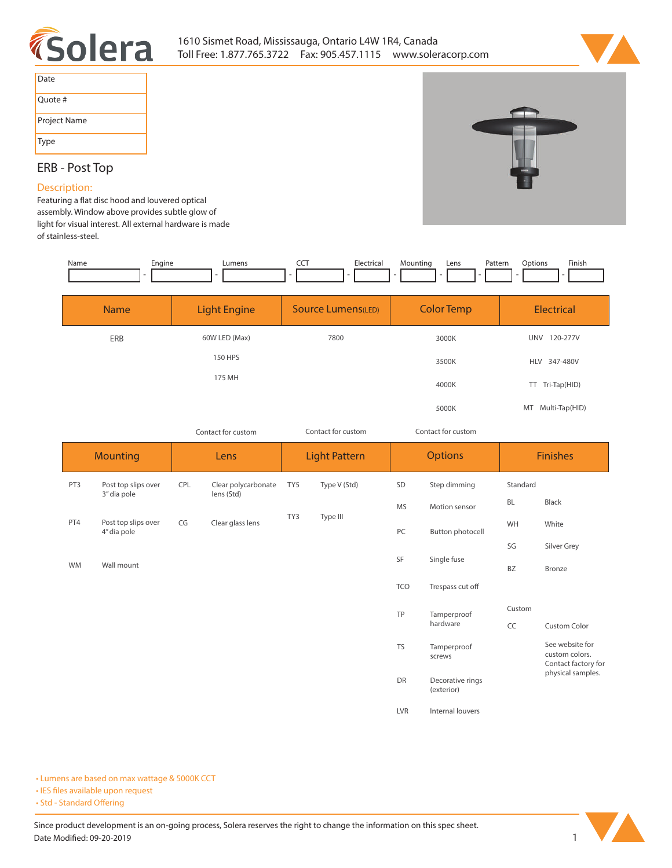



| Date         |
|--------------|
| Ouote #      |
| Project Name |
| <b>Type</b>  |

# **ERB - Post Top**

#### **Description:**

Featuring a flat disc hood and louvered optical **assembly. Window above provides subtle glow of light for visual interest. All external hardware is made of stainless-steel.** 

| Engine<br>Name |                     | <b>CCT</b><br>Electrical<br>Mounting<br>Pattern<br>Lens<br>Lumens |                   |                        |  |
|----------------|---------------------|-------------------------------------------------------------------|-------------------|------------------------|--|
| <b>Name</b>    | <b>Light Engine</b> | <b>Source Lumens(LED)</b>                                         | <b>Color Temp</b> | Electrical             |  |
| ERB            | 60W LED (Max)       | 7800                                                              | 3000K             | 120-277V<br><b>UNV</b> |  |
|                | 150 HPS             |                                                                   | 3500K             | HLV 347-480V           |  |
|                | 175 MH              |                                                                   | 4000K             | TT Tri-Tap(HID)        |  |
|                |                     |                                                                   | 5000K             | Multi-Tap(HID)<br>MT   |  |

*Contact for custom Contact for custom*

*Contact for custom*

|           | <b>Mounting</b><br>Lens            |     |                                   | <b>Light Pattern</b> |                  | <b>Options</b> |                         | <b>Finishes</b> |                                                          |
|-----------|------------------------------------|-----|-----------------------------------|----------------------|------------------|----------------|-------------------------|-----------------|----------------------------------------------------------|
| PT3       | Post top slips over<br>3" dia pole | CPL | Clear polycarbonate<br>lens (Std) | TY5                  | Type V (Std)     | SD             | Step dimming            | Standard        |                                                          |
|           |                                    |     |                                   | TY3                  | Type III         | <b>MS</b>      | Motion sensor           | <b>BL</b>       | Black                                                    |
| PT4       | Post top slips over<br>4" dia pole | CG  | Clear glass lens                  |                      |                  | PC             | Button photocell        | WH              | White                                                    |
|           |                                    |     |                                   |                      |                  | SF             |                         | SG              | Silver Grey                                              |
| <b>WM</b> | Wall mount                         |     |                                   |                      |                  |                | Single fuse             | BZ              | Bronze                                                   |
|           |                                    |     |                                   |                      |                  | TCO            | Trespass cut off        |                 |                                                          |
|           |                                    |     |                                   |                      |                  | TP             | Tamperproof<br>hardware | Custom          |                                                          |
|           |                                    |     |                                   |                      |                  |                |                         | CC              | <b>Custom Color</b>                                      |
|           |                                    |     |                                   |                      |                  | <b>TS</b>      | Tamperproof<br>screws   |                 | See website for<br>custom colors.<br>Contact factory for |
|           |                                    |     |                                   |                      | DR<br>(exterior) |                | Decorative rings        |                 | physical samples.                                        |
|           |                                    |     |                                   |                      |                  | LVR            | Internal louvers        |                 |                                                          |

**• Lumens are based on max wattage & 5000K CCT**

**• IES files available upon request** 

• Std - Standard Offering

Since product development is an on-going process, Solera reserves the right to change the information on this spec sheet. **Date Modified: 09-20-2019** 1